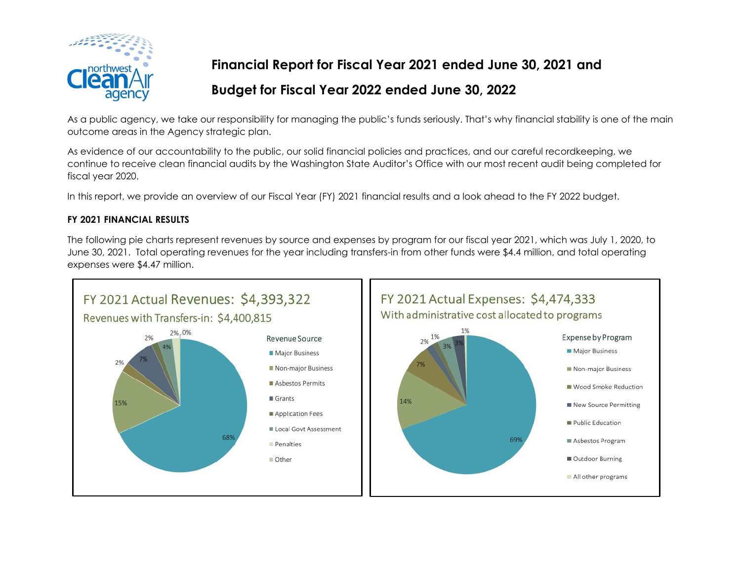

**Financial Report for Fiscal Year 2021 ended June 30, 2021 and**

# **Budget for Fiscal Year 2022 ended June 30, 2022**

As a public agency, we take our responsibility for managing the public's funds seriously. That's why financial stability is one of the main outcome areas in the Agency strategic plan.

As evidence of our accountability to the public, our solid financial policies and practices, and our careful recordkeeping, we continue to receive clean financial audits by the Washington State Auditor's Office with our most recent audit being completed for fiscal year 2020.

In this report, we provide an overview of our Fiscal Year (FY) 2021 financial results and a look ahead to the FY 2022 budget.

## **FY 2021 FINANCIAL RESULTS**

The following pie charts represent revenues by source and expenses by program for our fiscal year 2021, which was July 1, 2020, to June 30, 2021. Total operating revenues for the year including transfers-in from other funds were \$4.4 million, and total operating expenses were \$4.47 million.

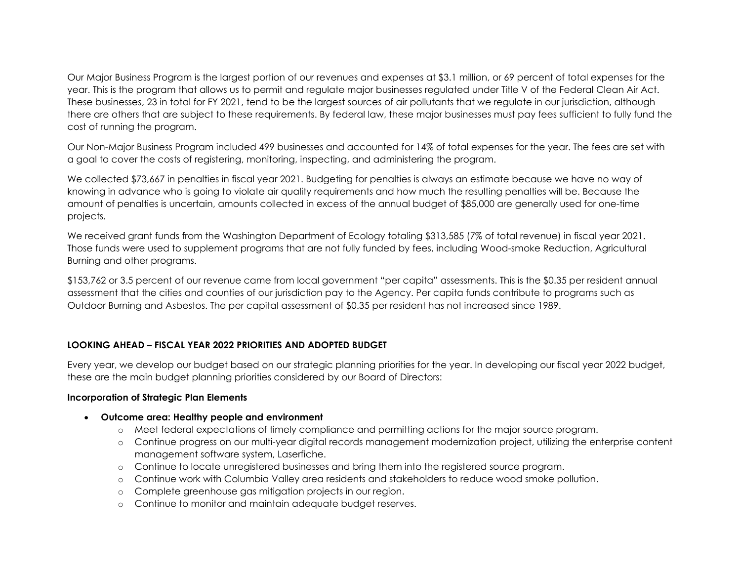Our Major Business Program is the largest portion of our revenues and expenses at \$3.1 million, or 69 percent of total expenses for the year. This is the program that allows us to permit and regulate major businesses regulated under Title V of the Federal Clean Air Act. These businesses, 23 in total for FY 2021, tend to be the largest sources of air pollutants that we regulate in our jurisdiction, although there are others that are subject to these requirements. By federal law, these major businesses must pay fees sufficient to fully fund the cost of running the program.

Our Non-Major Business Program included 499 businesses and accounted for 14% of total expenses for the year. The fees are set with a goal to cover the costs of registering, monitoring, inspecting, and administering the program.

We collected \$73,667 in penalties in fiscal year 2021. Budgeting for penalties is always an estimate because we have no way of knowing in advance who is going to violate air quality requirements and how much the resulting penalties will be. Because the amount of penalties is uncertain, amounts collected in excess of the annual budget of \$85,000 are generally used for one-time projects.

We received grant funds from the Washington Department of Ecology totaling \$313,585 (7% of total revenue) in fiscal year 2021. Those funds were used to supplement programs that are not fully funded by fees, including Wood-smoke Reduction, Agricultural Burning and other programs.

\$153,762 or 3.5 percent of our revenue came from local government "per capita" assessments. This is the \$0.35 per resident annual assessment that the cities and counties of our jurisdiction pay to the Agency. Per capita funds contribute to programs such as Outdoor Burning and Asbestos. The per capital assessment of \$0.35 per resident has not increased since 1989.

## **LOOKING AHEAD – FISCAL YEAR 2022 PRIORITIES AND ADOPTED BUDGET**

Every year, we develop our budget based on our strategic planning priorities for the year. In developing our fiscal year 2022 budget, these are the main budget planning priorities considered by our Board of Directors:

### **Incorporation of Strategic Plan Elements**

- **Outcome area: Healthy people and environment**
	- o Meet federal expectations of timely compliance and permitting actions for the major source program.
	- o Continue progress on our multi-year digital records management modernization project, utilizing the enterprise content management software system, Laserfiche.
	- o Continue to locate unregistered businesses and bring them into the registered source program.
	- o Continue work with Columbia Valley area residents and stakeholders to reduce wood smoke pollution.
	- o Complete greenhouse gas mitigation projects in our region.
	- o Continue to monitor and maintain adequate budget reserves.